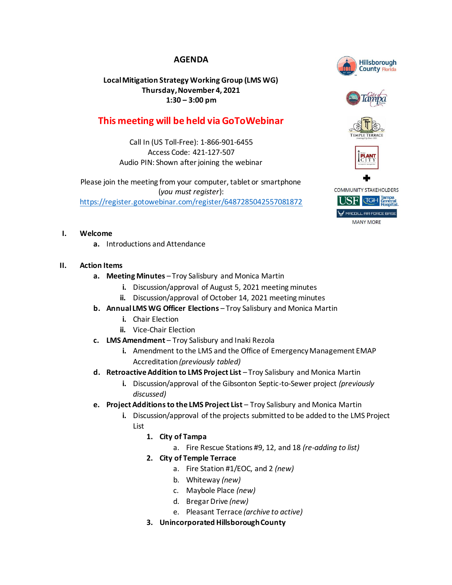# **AGENDA**

## **Local Mitigation Strategy Working Group (LMS WG) Thursday, November 4, 2021 1:30 – 3:00 pm**

# **This meeting will be held via GoToWebinar**

Call In (US Toll-Free): 1-866-901-6455 Access Code: 421-127-507 Audio PIN: Shown after joining the webinar

Please join the meeting from your computer, tablet or smartphone (*you must register*): <https://register.gotowebinar.com/register/6487285042557081872>

### **I. Welcome**

**a.** Introductions and Attendance

### **II. Action Items**

- **a. Meeting Minutes** Troy Salisbury and Monica Martin
	- **i.** Discussion/approval of August 5, 2021 meeting minutes
	- **ii.** Discussion/approval of October 14, 2021 meeting minutes
- **b. Annual LMS WG Officer Elections** Troy Salisbury and Monica Martin
	- **i.** Chair Election
	- **ii.** Vice-Chair Election
- **c. LMS Amendment** Troy Salisbury and Inaki Rezola
	- **i.** Amendment to the LMS and the Office of Emergency Management EMAP Accreditation *(previously tabled)*
- **d. Retroactive Addition to LMS Project List** Troy Salisbury and Monica Martin
	- **i.** Discussion/approval of the Gibsonton Septic-to-Sewer project *(previously discussed)*
- **e. Project Additions to the LMS Project List** Troy Salisbury and Monica Martin
	- **i.** Discussion/approval of the projects submitted to be added to the LMS Project List
		- **1. City of Tampa**
			- a. Fire Rescue Stations #9, 12, and 18 *(re-adding to list)*
		- **2. City of Temple Terrace**
			- a. Fire Station #1/EOC, and 2 *(new)*
			- b. Whiteway *(new)*
			- c. Maybole Place *(new)*
			- d. Bregar Drive *(new)*
			- e. Pleasant Terrace *(archive to active)*
		- **3. Unincorporated Hillsborough County**



**MANY MORE**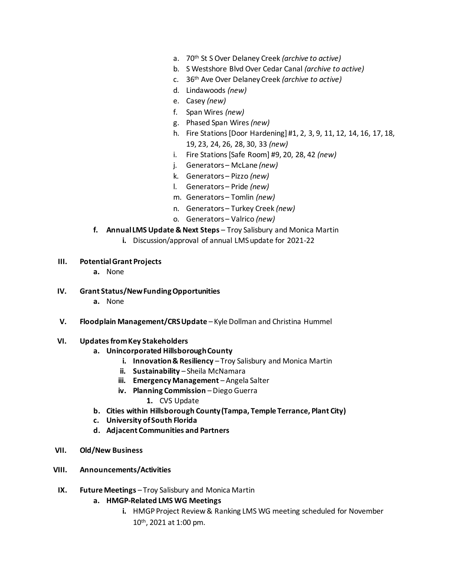- a. 70th St S Over Delaney Creek *(archive to active)*
- b. S Westshore Blvd Over Cedar Canal *(archive to active)*
- c. 36th Ave Over Delaney Creek *(archive to active)*
- d. Lindawoods *(new)*
- e. Casey *(new)*
- f. Span Wires *(new)*
- g. Phased Span Wires *(new)*
- h. Fire Stations [Door Hardening] #1, 2, 3, 9, 11, 12, 14, 16, 17, 18, 19, 23, 24, 26, 28, 30, 33 *(new)*
- i. Fire Stations [Safe Room] #9, 20, 28, 42 *(new)*
- j. Generators McLane *(new)*
- k. Generators Pizzo *(new)*
- l. Generators Pride *(new)*
- m. Generators Tomlin *(new)*
- n. Generators Turkey Creek *(new)*
- o. Generators Valrico *(new)*
- **f. Annual LMS Update & Next Steps**  Troy Salisbury and Monica Martin
	- **i.** Discussion/approval of annual LMS update for 2021-22
- **III. Potential Grant Projects**
	- **a.** None
- **IV. Grant Status/New Funding Opportunities**
	- **a.** None
- **V. Floodplain Management/CRS Update** Kyle Dollman and Christina Hummel
- **VI. Updates from Key Stakeholders**

#### **a. Unincorporated Hillsborough County**

- **i. Innovation & Resiliency** Troy Salisbury and Monica Martin
- **ii.** Sustainability Sheila McNamara
- **iii. Emergency Management** Angela Salter
- **iv. Planning Commission** Diego Guerra
	- **1.** CVS Update
- **b. Cities within Hillsborough County (Tampa, Temple Terrance, Plant City)**
- **c. University of South Florida**
- **d. Adjacent Communities and Partners**
- **VII. Old/New Business**
- **VIII. Announcements/Activities**
- **IX. Future Meetings** Troy Salisbury and Monica Martin
	- **a. HMGP-Related LMS WG Meetings**
		- **i.** HMGP Project Review & Ranking LMS WG meeting scheduled for November 10th , 2021 at 1:00 pm.